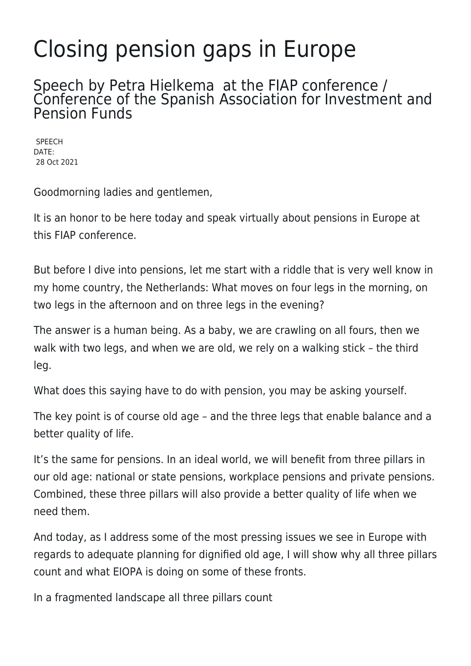## Closing pension gaps in Europe

## Speech by Petra Hielkema at the FIAP conference / Conference of the Spanish Association for Investment and Pension Funds

**SPEECH** DATE: 28 Oct 2021

Goodmorning ladies and gentlemen,

It is an honor to be here today and speak virtually about pensions in Europe at this FIAP conference.

But before I dive into pensions, let me start with a riddle that is very well know in my home country, the Netherlands: What moves on four legs in the morning, on two legs in the afternoon and on three legs in the evening?

The answer is a human being. As a baby, we are crawling on all fours, then we walk with two legs, and when we are old, we rely on a walking stick – the third leg.

What does this saying have to do with pension, you may be asking yourself.

The key point is of course old age – and the three legs that enable balance and a better quality of life.

It's the same for pensions. In an ideal world, we will benefit from three pillars in our old age: national or state pensions, workplace pensions and private pensions. Combined, these three pillars will also provide a better quality of life when we need them.

And today, as I address some of the most pressing issues we see in Europe with regards to adequate planning for dignified old age, I will show why all three pillars count and what EIOPA is doing on some of these fronts.

In a fragmented landscape all three pillars count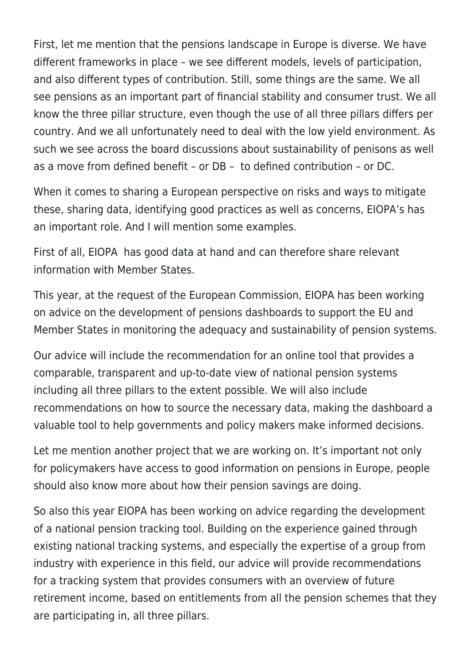First, let me mention that the pensions landscape in Europe is diverse. We have different frameworks in place – we see different models, levels of participation, and also different types of contribution. Still, some things are the same. We all see pensions as an important part of financial stability and consumer trust. We all know the three pillar structure, even though the use of all three pillars differs per country. And we all unfortunately need to deal with the low yield environment. As such we see across the board discussions about sustainability of penisons as well as a move from defined benefit – or DB – to defined contribution – or DC.

When it comes to sharing a European perspective on risks and ways to mitigate these, sharing data, identifying good practices as well as concerns, EIOPA's has an important role. And I will mention some examples.

First of all, EIOPA has good data at hand and can therefore share relevant information with Member States.

This year, at the request of the European Commission, EIOPA has been working on advice on the development of pensions dashboards to support the EU and Member States in monitoring the adequacy and sustainability of pension systems.

Our advice will include the recommendation for an online tool that provides a comparable, transparent and up-to-date view of national pension systems including all three pillars to the extent possible. We will also include recommendations on how to source the necessary data, making the dashboard a valuable tool to help governments and policy makers make informed decisions.

Let me mention another project that we are working on. It's important not only for policymakers have access to good information on pensions in Europe, people should also know more about how their pension savings are doing.

So also this year EIOPA has been working on advice regarding the development of a national pension tracking tool. Building on the experience gained through existing national tracking systems, and especially the expertise of a group from industry with experience in this field, our advice will provide recommendations for a tracking system that provides consumers with an overview of future retirement income, based on entitlements from all the pension schemes that they are participating in, all three pillars.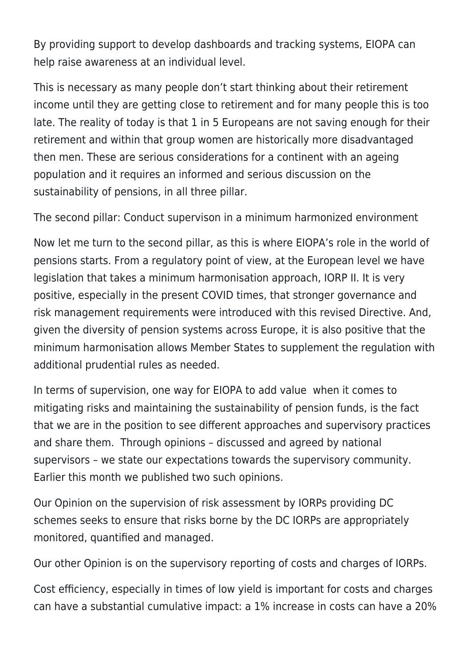By providing support to develop dashboards and tracking systems, EIOPA can help raise awareness at an individual level.

This is necessary as many people don't start thinking about their retirement income until they are getting close to retirement and for many people this is too late. The reality of today is that 1 in 5 Europeans are not saving enough for their retirement and within that group women are historically more disadvantaged then men. These are serious considerations for a continent with an ageing population and it requires an informed and serious discussion on the sustainability of pensions, in all three pillar.

The second pillar: Conduct supervison in a minimum harmonized environment

Now let me turn to the second pillar, as this is where EIOPA's role in the world of pensions starts. From a regulatory point of view, at the European level we have legislation that takes a minimum harmonisation approach, IORP II. It is very positive, especially in the present COVID times, that stronger governance and risk management requirements were introduced with this revised Directive. And, given the diversity of pension systems across Europe, it is also positive that the minimum harmonisation allows Member States to supplement the regulation with additional prudential rules as needed.

In terms of supervision, one way for EIOPA to add value when it comes to mitigating risks and maintaining the sustainability of pension funds, is the fact that we are in the position to see different approaches and supervisory practices and share them. Through opinions – discussed and agreed by national supervisors – we state our expectations towards the supervisory community. Earlier this month we published two such opinions.

Our Opinion on the supervision of risk assessment by IORPs providing DC schemes seeks to ensure that risks borne by the DC IORPs are appropriately monitored, quantified and managed.

Our other Opinion is on the supervisory reporting of costs and charges of IORPs.

Cost efficiency, especially in times of low yield is important for costs and charges can have a substantial cumulative impact: a 1% increase in costs can have a 20%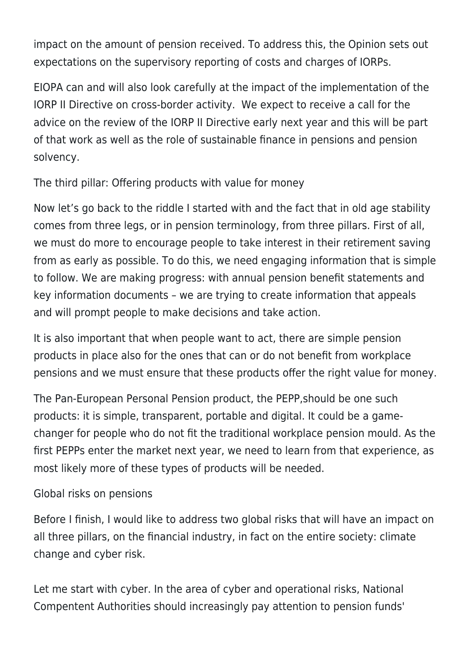impact on the amount of pension received. To address this, the Opinion sets out expectations on the supervisory reporting of costs and charges of IORPs.

EIOPA can and will also look carefully at the impact of the implementation of the IORP II Directive on cross-border activity. We expect to receive a call for the advice on the review of the IORP II Directive early next year and this will be part of that work as well as the role of sustainable finance in pensions and pension solvency.

The third pillar: Offering products with value for money

Now let's go back to the riddle I started with and the fact that in old age stability comes from three legs, or in pension terminology, from three pillars. First of all, we must do more to encourage people to take interest in their retirement saving from as early as possible. To do this, we need engaging information that is simple to follow. We are making progress: with annual pension benefit statements and key information documents – we are trying to create information that appeals and will prompt people to make decisions and take action.

It is also important that when people want to act, there are simple pension products in place also for the ones that can or do not benefit from workplace pensions and we must ensure that these products offer the right value for money.

The Pan-European Personal Pension product, the PEPP,should be one such products: it is simple, transparent, portable and digital. It could be a gamechanger for people who do not fit the traditional workplace pension mould. As the first PEPPs enter the market next year, we need to learn from that experience, as most likely more of these types of products will be needed.

## Global risks on pensions

Before I finish, I would like to address two global risks that will have an impact on all three pillars, on the financial industry, in fact on the entire society: climate change and cyber risk.

Let me start with cyber. In the area of cyber and operational risks, National Compentent Authorities should increasingly pay attention to pension funds'